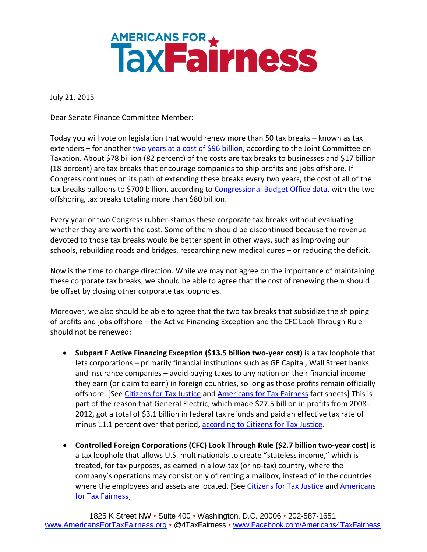## **AMERICANS FOR A THRESS**

July 21, 2015

Dear Senate Finance Committee Member:

Today you will vote on legislation that would renew more than 50 tax breaks – known as tax extenders – for another [two years at a cost of \\$96](https://www.jct.gov/publications.html?func=startdown&id=4801) billion, according to the Joint Committee on Taxation. About \$78 billion (82 percent) of the costs are tax breaks to businesses and \$17 billion (18 percent) are tax breaks that encourage companies to ship profits and jobs offshore. If Congress continues on its path of extending these breaks every two years, the cost of all of the tax breaks balloons to \$700 billion, according to [Congressional Budget Office data,](http://www.americansfortaxfairness.org/files/CBO-Costs-of-Extending-Tax-Provisions-Set-to-Expire-Before-2024-Table-7-by-ATF-FINAL1.xlsx) with the two offshoring tax breaks totaling more than \$80 billion.

Every year or two Congress rubber-stamps these corporate tax breaks without evaluating whether they are worth the cost. Some of them should be discontinued because the revenue devoted to those tax breaks would be better spent in other ways, such as improving our schools, rebuilding roads and bridges, researching new medical cures – or reducing the deficit.

Now is the time to change direction. While we may not agree on the importance of maintaining these corporate tax breaks, we should be able to agree that the cost of renewing them should be offset by closing other corporate tax loopholes.

Moreover, we also should be able to agree that the two tax breaks that subsidize the shipping of profits and jobs offshore – the Active Financing Exception and the CFC Look Through Rule – should not be renewed:

- **Subpart F Active Financing Exception (\$13.5 billion two-year cost)** is a tax loophole that lets corporations – primarily financial institutions such as GE Capital, Wall Street banks and insurance companies – avoid paying taxes to any nation on their financial income they earn (or claim to earn) in foreign countries, so long as those profits remain officially offshore. [Se[e Citizens for Tax Justice](http://www.ctj.org/pdf/extenders_december_2013.pdf) and [Americans for Tax Fairness](http://www.americansfortaxfairness.org/files/ATF-General-Electrics-Special-Tax-Loophole-Lets-Company-Dodge-Billions-In-Taxes-FINAL-4.docx) fact sheets] This is part of the reason that General Electric, which made \$27.5 billion in profits from 2008- 2012, got a total of \$3.1 billion in federal tax refunds and paid an effective tax rate of minus 11.1 percent over that period, [according to Citizens for Tax Justice.](http://www.ctj.org/corporatetaxdodgers/sorrystateofcorptaxes.pdf)
- **Controlled Foreign Corporations (CFC) Look Through Rule (\$2.7 billion two-year cost)** is a tax loophole that allows U.S. multinationals to create "[stateless income](http://www.tax.com/taxcom/taxblog.nsf/Permalink/UBEN-8J8MGL?OpenDocument)," which is treated, for tax purposes, as earned in a low-tax (or no-tax) country, where the company's operations may consist only of renting a mailbox, instead of in the countries where the employees and assets are located. [See [Citizens for Tax Justice](http://ctj.org/ctjreports/2012/08/dont_renew_the_offshore_tax_loopholes.php#.UpZkeeKfJJR) and Americans [for Tax Fairness\]](http://www.americansfortaxfairness.org/files/Corporate-Lobbying-on-Tax-Extenders-and-the-GE-Loophole-2.pdf)